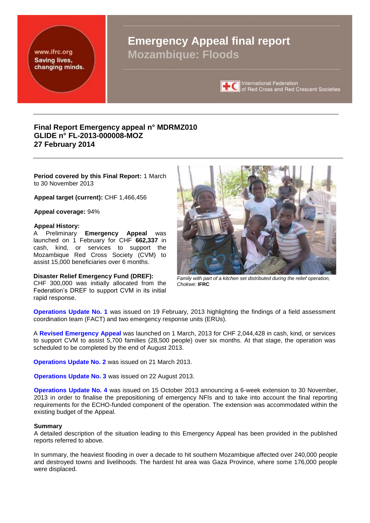www.ifrc.org Saving lives, changing minds.

# **Emergency Appeal final report Mozambique: Floods**



International Federation<br>of Red Cross and Red Crescent Societies

# **Final Report Emergency appeal n° MDRMZ010 GLIDE n° FL-2013-000008-MOZ 27 February 2014**

**Period covered by this Final Report:** 1 March to 30 November 2013

**Appeal target (current):** CHF 1,466,456

**Appeal coverage:** 94[%](http://www.ifrc.org/docs/appeals/Active/MDRMZ010.pdf)

### **Appeal History:**

A Preliminary **Emergency Appeal** was launched on 1 February for CHF **662,337** in cash, kind, or services to support the Mozambique Red Cross Society (CVM) to assist 15,000 beneficiaries over 6 months.

### **Disaster Relief Emergency Fund (DREF):**

CHF 300,000 was initially allocated from the Federation's DREF to support CVM in its initial rapid response.



*Family with part of a kitchen set distributed during the relief operation, Chokwe*: **IFRC**

**Operations Update No. 1** was issued on 19 February, 2013 highlighting the findings of a field assessment coordination team (FACT) and two emergency response units (ERUs).

A **Revised Emergency Appeal** was launched on 1 March, 2013 for CHF 2,044,428 in cash, kind, or services to support CVM to assist 5,700 families (28,500 people) over six months. At that stage, the operation was scheduled to be completed by the end of August 2013.

**Operations Update No. 2** was issued on 21 March 2013.

**Operations Update No. 3** was issued on 22 August 2013.

**Operations Update No. 4** was issued on 15 October 2013 announcing a 6-week extension to 30 November, 2013 in order to finalise the prepositioning of emergency NFIs and to take into account the final reporting requirements for the ECHO-funded component of the operation. The extension was accommodated within the existing budget of the Appeal.

### **Summary**

A detailed description of the situation leading to this Emergency Appeal has been provided in the published reports referred to above.

In summary, the heaviest flooding in over a decade to hit southern Mozambique affected over 240,000 people and destroyed towns and livelihoods. The hardest hit area was Gaza Province, where some 176,000 people were displaced.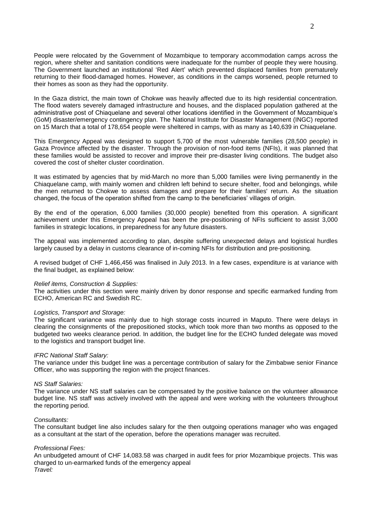People were relocated by the Government of Mozambique to temporary accommodation camps across the region, where shelter and sanitation conditions were inadequate for the number of people they were housing. The Government launched an institutional 'Red Alert' which prevented displaced families from prematurely returning to their flood-damaged homes. However, as conditions in the camps worsened, people returned to their homes as soon as they had the opportunity.

In the Gaza district, the main town of Chokwe was heavily affected due to its high residential concentration. The flood waters severely damaged infrastructure and houses, and the displaced population gathered at the administrative post of Chiaquelane and several other locations identified in the Government of Mozambique's (GoM) disaster/emergency contingency plan. The National Institute for Disaster Management (INGC) reported on 15 March that a total of 178,654 people were sheltered in camps, with as many as 140,639 in Chiaquelane.

This Emergency Appeal was designed to support 5,700 of the most vulnerable families (28,500 people) in Gaza Province affected by the disaster. Through the provision of non-food items (NFIs), it was planned that these families would be assisted to recover and improve their pre-disaster living conditions. The budget also covered the cost of shelter cluster coordination.

It was estimated by agencies that by mid-March no more than 5,000 families were living permanently in the Chiaquelane camp, with mainly women and children left behind to secure shelter, food and belongings, while the men returned to Chokwe to assess damages and prepare for their families' return. As the situation changed, the focus of the operation shifted from the camp to the beneficiaries' villages of origin.

By the end of the operation, 6,000 families (30,000 people) benefited from this operation. A significant achievement under this Emergency Appeal has been the pre-positioning of NFIs sufficient to assist 3,000 families in strategic locations, in preparedness for any future disasters.

The appeal was implemented according to plan, despite suffering unexpected delays and logistical hurdles largely caused by a delay in customs clearance of in-coming NFIs for distribution and pre-positioning.

A revised budget of CHF 1,466,456 was finalised in July 2013. In a few cases, expenditure is at variance with the final budget, as explained below:

### *Relief items, Construction & Supplies:*

The activities under this section were mainly driven by donor response and specific earmarked funding from ECHO, American RC and Swedish RC.

## *Logistics, Transport and Storage:*

The significant variance was mainly due to high storage costs incurred in Maputo. There were delays in clearing the consignments of the prepositioned stocks, which took more than two months as opposed to the budgeted two weeks clearance period. In addition, the budget line for the ECHO funded delegate was moved to the logistics and transport budget line.

## *IFRC National Staff Salary:*

The variance under this budget line was a percentage contribution of salary for the Zimbabwe senior Finance Officer, who was supporting the region with the project finances.

### *NS Staff Salaries:*

The variance under NS staff salaries can be compensated by the positive balance on the volunteer allowance budget line. NS staff was actively involved with the appeal and were working with the volunteers throughout the reporting period.

### *Consultants:*

The consultant budget line also includes salary for the then outgoing operations manager who was engaged as a consultant at the start of the operation, before the operations manager was recruited.

## *Professional Fees:*

An unbudgeted amount of CHF 14,083.58 was charged in audit fees for prior Mozambique projects. This was charged to un-earmarked funds of the emergency appeal *Travel:*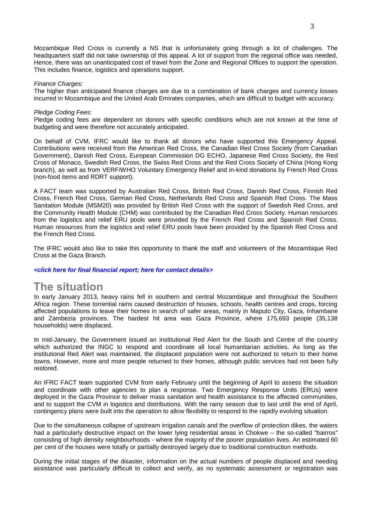Mozambique Red Cross is currently a NS that is unfortunately going through a lot of challenges. The headquarters staff did not take ownership of this appeal. A lot of support from the regional office was needed, Hence, there was an unanticipated cost of travel from the Zone and Regional Offices to support the operation. This includes finance, logistics and operations support.

### *Finance Charges:*

The higher than anticipated finance charges are due to a combination of bank charges and currency losses incurred in Mozambique and the United Arab Emirates companies, which are difficult to budget with accuracy.

### *Pledge Coding Fees:*

Pledge coding fees are dependent on donors with specific conditions which are not known at the time of budgeting and were therefore not accurately anticipated.

On behalf of CVM, IFRC would like to thank all donors who have supported this Emergency Appeal. Contributions were received from the American Red Cross, the Canadian Red Cross Society (from Canadian Government), Danish Red Cross, European Commission DG ECHO, Japanese Red Cross Society, the Red Cross of Monaco, Swedish Red Cross, the Swiss Red Cross and the Red Cross Society of China (Hong Kong branch), as well as from VERF/WHO Voluntary Emergency Relief and in-kind donations by French Red Cross (non-food items and RDRT support).

A FACT team was supported by Australian Red Cross, British Red Cross, Danish Red Cross, Finnish Red Cross, French Red Cross, German Red Cross, Netherlands Red Cross and Spanish Red Cross. The Mass Sanitation Module (MSM20) was provided by British Red Cross with the support of Swedish Red Cross, and the Community Health Module (CHM) was contributed by the Canadian Red Cross Society. Human resources from the logistics and relief ERU pools were provided by the French Red Cross and Spanish Red Cross. Human resources from the logistics and relief ERU pools have been provided by the Spanish Red Cross and the French Red Cross.

The IFRC would also like to take this opportunity to thank the staff and volunteers of the Mozambique Red Cross at the Gaza Branch.

*<click here for final financial report; here for contact details>*

# **The situation**

In early January 2013, heavy rains fell in southern and central Mozambique and throughout the Southern Africa region. These torrential rains caused destruction of houses, schools, health centres and crops, forcing affected populations to leave their homes in search of safer areas, mainly in Maputo City, Gaza, Inhambane and Zambezia provinces. The hardest hit area was Gaza Province, where 175,693 people (35,138 households) were displaced.

In mid-January, the Government issued an institutional Red Alert for the South and Centre of the country which authorized the INGC to respond and coordinate all local humanitarian activities. As long as the institutional Red Alert was maintained, the displaced population were not authorized to return to their home towns. However, more and more people returned to their homes, although public services had not been fully restored.

An IFRC FACT team supported CVM from early February until the beginning of April to assess the situation and coordinate with other agencies to plan a response. Two Emergency Response Units (ERUs) were deployed in the Gaza Province to deliver mass sanitation and health assistance to the affected communities, and to support the CVM in logistics and distributions. With the rainy season due to last until the end of April, contingency plans were built into the operation to allow flexibility to respond to the rapidly evolving situation.

Due to the simultaneous collapse of upstream irrigation canals and the overflow of protection dikes, the waters had a particularly destructive impact on the lower lying residential areas in Chokwe – the so-called "bairros" consisting of high density neighbourhoods - where the majority of the poorer population lives. An estimated 60 per cent of the houses were totally or partially destroyed largely due to traditional construction methods.

During the initial stages of the disaster, information on the actual numbers of people displaced and needing assistance was particularly difficult to collect and verify, as no systematic assessment or registration was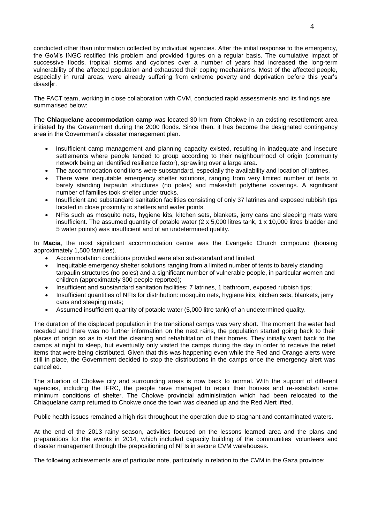conducted other than information collected by individual agencies. After the initial response to the emergency, the GoM's INGC rectified this problem and provided figures on a regular basis. The cumulative impact of successive floods, tropical storms and cyclones over a number of years had increased the long-term vulnerability of the affected population and exhausted their coping mechanisms. Most of the affected people, especially in rural areas, were already suffering from extreme poverty and deprivation before this year's disaster.

The FACT team, working in close collaboration with CVM, conducted rapid assessments and its findings are summarised below:

The **Chiaquelane accommodation camp** was located 30 km from Chokwe in an existing resettlement area initiated by the Government during the 2000 floods. Since then, it has become the designated contingency area in the Government's disaster management plan.

- Insufficient camp management and planning capacity existed, resulting in inadequate and insecure settlements where people tended to group according to their neighbourhood of origin (community network being an identified resilience factor), sprawling over a large area.
- The accommodation conditions were substandard, especially the availability and location of latrines.
- There were inequitable emergency shelter solutions, ranging from very limited number of tents to barely standing tarpaulin structures (no poles) and makeshift polythene coverings. A significant number of families took shelter under trucks.
- Insufficient and substandard sanitation facilities consisting of only 37 latrines and exposed rubbish tips located in close proximity to shelters and water points.
- NFIs such as mosquito nets, hygiene kits, kitchen sets, blankets, jerry cans and sleeping mats were insufficient. The assumed quantity of potable water (2 x 5,000 litres tank, 1 x 10,000 litres bladder and 5 water points) was insufficient and of an undetermined quality.

In **Macia**, the most significant accommodation centre was the Evangelic Church compound (housing approximately 1,500 families).

- Accommodation conditions provided were also sub-standard and limited.
- Inequitable emergency shelter solutions ranging from a limited number of tents to barely standing tarpaulin structures (no poles) and a significant number of vulnerable people, in particular women and children (approximately 300 people reported);
- Insufficient and substandard sanitation facilities: 7 latrines, 1 bathroom, exposed rubbish tips;
- Insufficient quantities of NFIs for distribution: mosquito nets, hygiene kits, kitchen sets, blankets, jerry cans and sleeping mats;
- Assumed insufficient quantity of potable water (5,000 litre tank) of an undetermined quality.

The duration of the displaced population in the transitional camps was very short. The moment the water had receded and there was no further information on the next rains, the population started going back to their places of origin so as to start the cleaning and rehabilitation of their homes. They initially went back to the camps at night to sleep, but eventually only visited the camps during the day in order to receive the relief items that were being distributed. Given that this was happening even while the Red and Orange alerts were still in place, the Government decided to stop the distributions in the camps once the emergency alert was cancelled.

The situation of Chokwe city and surrounding areas is now back to normal. With the support of different agencies, including the IFRC, the people have managed to repair their houses and re-establish some minimum conditions of shelter. The Chokwe provincial administration which had been relocated to the Chiaquelane camp returned to Chokwe once the town was cleaned up and the Red Alert lifted.

Public health issues remained a high risk throughout the operation due to stagnant and contaminated waters.

At the end of the 2013 rainy season, activities focused on the lessons learned area and the plans and preparations for the events in 2014, which included capacity building of the communities' volunteers and disaster management through the prepositioning of NFIs in secure CVM warehouses.

The following achievements are of particular note, particularly in relation to the CVM in the Gaza province: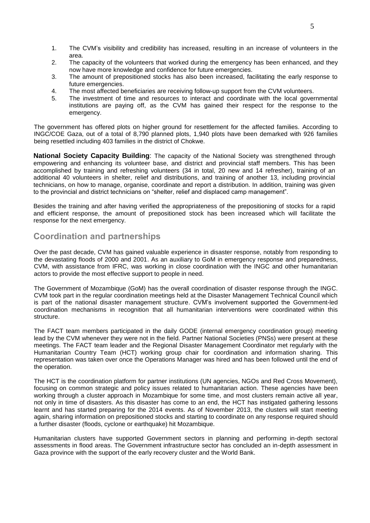- 1. The CVM's visibility and credibility has increased, resulting in an increase of volunteers in the area.
- 2. The capacity of the volunteers that worked during the emergency has been enhanced, and they now have more knowledge and confidence for future emergencies.
- 3. The amount of prepositioned stocks has also been increased, facilitating the early response to future emergencies.
- 4. The most affected beneficiaries are receiving follow-up support from the CVM volunteers.
- 5. The investment of time and resources to interact and coordinate with the local governmental institutions are paying off, as the CVM has gained their respect for the response to the emergency.

The government has offered plots on higher ground for resettlement for the affected families. According to INGC/COE Gaza, out of a total of 8,790 planned plots, 1,940 plots have been demarked with 926 families being resettled including 403 families in the district of Chokwe.

**National Society Capacity Building**: The capacity of the National Society was strengthened through empowering and enhancing its volunteer base, and district and provincial staff members. This has been accomplished by training and refreshing volunteers (34 in total, 20 new and 14 refresher), training of an additional 40 volunteers in shelter, relief and distributions, and training of another 13, including provincial technicians, on how to manage, organise, coordinate and report a distribution. In addition, training was given to the provincial and district technicians on "shelter, relief and displaced camp management".

Besides the training and after having verified the appropriateness of the prepositioning of stocks for a rapid and efficient response, the amount of prepositioned stock has been increased which will facilitate the response for the next emergency.

# **Coordination and partnerships**

Over the past decade, CVM has gained valuable experience in disaster response, notably from responding to the devastating floods of 2000 and 2001. As an auxiliary to GoM in emergency response and preparedness, CVM, with assistance from IFRC, was working in close coordination with the INGC and other humanitarian actors to provide the most effective support to people in need.

The Government of Mozambique (GoM) has the overall coordination of disaster response through the INGC. CVM took part in the regular coordination meetings held at the Disaster Management Technical Council which is part of the national disaster management structure. CVM's involvement supported the Government-led coordination mechanisms in recognition that all humanitarian interventions were coordinated within this structure.

The FACT team members participated in the daily GODE (internal emergency coordination group) meeting lead by the CVM whenever they were not in the field. Partner National Societies (PNSs) were present at these meetings. The FACT team leader and the Regional Disaster Management Coordinator met regularly with the Humanitarian Country Team (HCT) working group chair for coordination and information sharing. This representation was taken over once the Operations Manager was hired and has been followed until the end of the operation.

The HCT is the coordination platform for partner institutions (UN agencies, NGOs and Red Cross Movement), focusing on common strategic and policy issues related to humanitarian action. These agencies have been working through a cluster approach in Mozambique for some time, and most clusters remain active all year, not only in time of disasters. As this disaster has come to an end, the HCT has instigated gathering lessons learnt and has started preparing for the 2014 events. As of November 2013, the clusters will start meeting again, sharing information on prepositioned stocks and starting to coordinate on any response required should a further disaster (floods, cyclone or earthquake) hit Mozambique.

Humanitarian clusters have supported Government sectors in planning and performing in-depth sectoral assessments in flood areas. The Government infrastructure sector has concluded an in-depth assessment in Gaza province with the support of the early recovery cluster and the World Bank.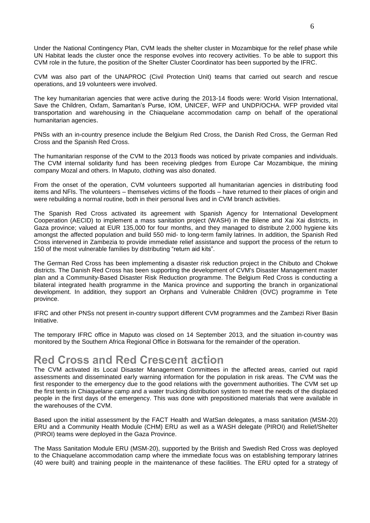Under the National Contingency Plan, CVM leads the shelter cluster in Mozambique for the relief phase while UN Habitat leads the cluster once the response evolves into recovery activities. To be able to support this CVM role in the future, the position of the Shelter Cluster Coordinator has been supported by the IFRC.

CVM was also part of the UNAPROC (Civil Protection Unit) teams that carried out search and rescue operations, and 19 volunteers were involved.

The key humanitarian agencies that were active during the 2013-14 floods were: World Vision International, Save the Children, Oxfam, Samaritan's Purse, IOM, UNICEF, WFP and UNDP/OCHA. WFP provided vital transportation and warehousing in the Chiaquelane accommodation camp on behalf of the operational humanitarian agencies.

PNSs with an in-country presence include the Belgium Red Cross, the Danish Red Cross, the German Red Cross and the Spanish Red Cross.

The humanitarian response of the CVM to the 2013 floods was noticed by private companies and individuals. The CVM internal solidarity fund has been receiving pledges from Europe Car Mozambique, the mining company Mozal and others. In Maputo, clothing was also donated.

From the onset of the operation, CVM volunteers supported all humanitarian agencies in distributing food items and NFIs. The volunteers – themselves victims of the floods – have returned to their places of origin and were rebuilding a normal routine, both in their personal lives and in CVM branch activities.

The Spanish Red Cross activated its agreement with Spanish Agency for International Development Cooperation (AECID) to implement a mass sanitation project (WASH) in the Bilene and Xai Xai districts, in Gaza province; valued at EUR 135,000 for four months, and they managed to distribute 2,000 hygiene kits amongst the affected population and build 550 mid- to long-term family latrines. In addition, the Spanish Red Cross intervened in Zambezia to provide immediate relief assistance and support the process of the return to 150 of the most vulnerable families by distributing "return aid kits".

The German Red Cross has been implementing a disaster risk reduction project in the Chibuto and Chokwe districts. The Danish Red Cross has been supporting the development of CVM's Disaster Management master plan and a Community-Based Disaster Risk Reduction programme. The Belgium Red Cross is conducting a bilateral integrated health programme in the Manica province and supporting the branch in organizational development. In addition, they support an Orphans and Vulnerable Children (OVC) programme in Tete province.

IFRC and other PNSs not present in-country support different CVM programmes and the Zambezi River Basin Initiative.

The temporary IFRC office in Maputo was closed on 14 September 2013, and the situation in-country was monitored by the Southern Africa Regional Office in Botswana for the remainder of the operation.

# **Red Cross and Red Crescent action**

The CVM activated its Local Disaster Management Committees in the affected areas, carried out rapid assessments and disseminated early warning information for the population in risk areas. The CVM was the first responder to the emergency due to the good relations with the government authorities. The CVM set up the first tents in Chiaquelane camp and a water trucking distribution system to meet the needs of the displaced people in the first days of the emergency. This was done with prepositioned materials that were available in the warehouses of the CVM.

Based upon the initial assessment by the FACT Health and WatSan delegates, a mass sanitation (MSM-20) ERU and a Community Health Module (CHM) ERU as well as a WASH delegate (PIROI) and Relief/Shelter (PIROI) teams were deployed in the Gaza Province.

The Mass Sanitation Module ERU (MSM-20), supported by the British and Swedish Red Cross was deployed to the Chiaquelane accommodation camp where the immediate focus was on establishing temporary latrines (40 were built) and training people in the maintenance of these facilities. The ERU opted for a strategy of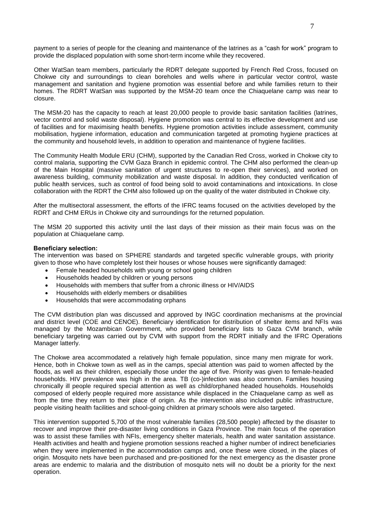payment to a series of people for the cleaning and maintenance of the latrines as a "cash for work" program to provide the displaced population with some short-term income while they recovered.

Other WatSan team members, particularly the RDRT delegate supported by French Red Cross, focused on Chokwe city and surroundings to clean boreholes and wells where in particular vector control, waste management and sanitation and hygiene promotion was essential before and while families return to their homes. The RDRT WatSan was supported by the MSM-20 team once the Chiaquelane camp was near to closure.

The MSM-20 has the capacity to reach at least 20,000 people to provide basic sanitation facilities (latrines, vector control and solid waste disposal). Hygiene promotion was central to its effective development and use of facilities and for maximising health benefits. Hygiene promotion activities include assessment, community mobilisation, hygiene information, education and communication targeted at promoting hygiene practices at the community and household levels, in addition to operation and maintenance of hygiene facilities.

The Community Health Module ERU (CHM), supported by the Canadian Red Cross, worked in Chokwe city to control malaria, supporting the CVM Gaza Branch in epidemic control. The CHM also performed the clean-up of the Main Hospital (massive sanitation of urgent structures to re-open their services), and worked on awareness building, community mobilization and waste disposal. In addition, they conducted verification of public health services, such as control of food being sold to avoid contaminations and intoxications. In close collaboration with the RDRT the CHM also followed up on the quality of the water distributed in Chokwe city.

After the multisectoral assessment, the efforts of the IFRC teams focused on the activities developed by the RDRT and CHM ERUs in Chokwe city and surroundings for the returned population.

The MSM 20 supported this activity until the last days of their mission as their main focus was on the population at Chiaquelane camp.

## **Beneficiary selection:**

The intervention was based on SPHERE standards and targeted specific vulnerable groups, with priority given to those who have completely lost their houses or whose houses were significantly damaged:

- Female headed households with young or school going children
- Households headed by children or young persons
- Households with members that suffer from a chronic illness or HIV/AIDS
- Households with elderly members or disabilities
- Households that were accommodating orphans

The CVM distribution plan was discussed and approved by INGC coordination mechanisms at the provincial and district level (COE and CENOE). Beneficiary identification for distribution of shelter items and NFIs was managed by the Mozambican Government, who provided beneficiary lists to Gaza CVM branch, while beneficiary targeting was carried out by CVM with support from the RDRT initially and the IFRC Operations Manager latterly.

The Chokwe area accommodated a relatively high female population, since many men migrate for work. Hence, both in Chokwe town as well as in the camps, special attention was paid to women affected by the floods, as well as their children, especially those under the age of five. Priority was given to female-headed households. HIV prevalence was high in the area. TB (co-)infection was also common. Families housing chronically ill people required special attention as well as child/orphaned headed households. Households composed of elderly people required more assistance while displaced in the Chiaquelane camp as well as from the time they return to their place of origin. As the intervention also included public infrastructure, people visiting health facilities and school-going children at primary schools were also targeted.

This intervention supported 5,700 of the most vulnerable families (28,500 people) affected by the disaster to recover and improve their pre-disaster living conditions in Gaza Province. The main focus of the operation was to assist these families with NFIs, emergency shelter materials, health and water sanitation assistance. Health activities and health and hygiene promotion sessions reached a higher number of indirect beneficiaries when they were implemented in the accommodation camps and, once these were closed, in the places of origin. Mosquito nets have been purchased and pre-positioned for the next emergency as the disaster prone areas are endemic to malaria and the distribution of mosquito nets will no doubt be a priority for the next operation.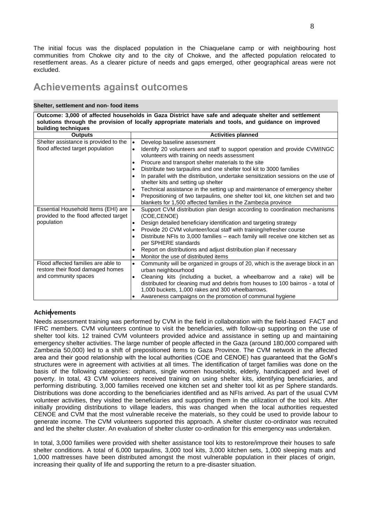The initial focus was the displaced population in the Chiaquelane camp or with neighbouring host communities from Chokwe city and to the city of Chokwe, and the affected population relocated to resettlement areas. As a clearer picture of needs and gaps emerged, other geographical areas were not excluded.

# **Achievements against outcomes**

## **Shelter, settlement and non- food items**

**Outcome: 3,000 of affected households in Gaza District have safe and adequate shelter and settlement solutions through the provision of locally appropriate materials and tools, and guidance on improved building techniques**

| มนแนแพู เธนแแนนธง<br><b>Outputs</b>                | <b>Activities planned</b>                                                                               |
|----------------------------------------------------|---------------------------------------------------------------------------------------------------------|
| Shelter assistance is provided to the<br>$\bullet$ | Develop baseline assessment                                                                             |
| flood affected target population<br>$\bullet$      | Identify 20 volunteers and staff to support operation and provide CVM/INGC                              |
|                                                    | volunteers with training on needs assessment                                                            |
| $\bullet$                                          | Procure and transport shelter materials to the site                                                     |
| $\bullet$                                          | Distribute two tarpaulins and one shelter tool kit to 3000 families                                     |
| ٠                                                  | In parallel with the distribution, undertake sensitization sessions on the use of                       |
|                                                    | shelter kits and setting up shelter                                                                     |
| $\bullet$                                          | Technical assistance in the setting up and maintenance of emergency shelter                             |
| ٠                                                  | Prepositioning of two tarpaulins, one shelter tool kit, one kitchen set and two                         |
|                                                    | blankets for 1,500 affected families in the Zambezia province                                           |
| Essential Household Items (EHI) are<br>١.          | Support CVM distribution plan design according to coordination mechanisms                               |
| provided to the flood affected target              | (COE,CENOE)                                                                                             |
| population<br>$\bullet$                            | Design detailed beneficiary identification and targeting strategy                                       |
| $\bullet$                                          | Provide 20 CVM volunteer/local staff with training/refresher course                                     |
| ٠                                                  | Distribute NFIs to 3,000 families – each family will receive one kitchen set as<br>per SPHERE standards |
| ٠                                                  | Report on distributions and adjust distribution plan if necessary                                       |
| $\bullet$                                          | Monitor the use of distributed items                                                                    |
| Flood affected families are able to<br>$\bullet$   | Community will be organized in groups of 20, which is the average block in an                           |
| restore their flood damaged homes                  | urban neighbourhood                                                                                     |
| and community spaces<br>$\bullet$                  | Cleaning kits (including a bucket, a wheelbarrow and a rake) will be                                    |
|                                                    | distributed for cleaning mud and debris from houses to 100 bairros - a total of                         |
|                                                    | 1,000 buckets, 1,000 rakes and 300 wheelbarrows.                                                        |
| ٠                                                  | Awareness campaigns on the promotion of communal hygiene                                                |

## **Achievements**

Needs assessment training was performed by CVM in the field in collaboration with the field-based FACT and IFRC members. CVM volunteers continue to visit the beneficiaries, with follow-up supporting on the use of shelter tool kits. 12 trained CVM volunteers provided advice and assistance in setting up and maintaining emergency shelter activities. The large number of people affected in the Gaza (around 180,000 compared with Zambezia 50,000) led to a shift of prepositioned items to Gaza Province. The CVM network in the affected area and their good relationship with the local authorities (COE and CENOE) has guaranteed that the GoM's structures were in agreement with activities at all times. The identification of target families was done on the basis of the following categories: orphans, single women households, elderly, handicapped and level of poverty. In total, 43 CVM volunteers received training on using shelter kits, identifying beneficiaries, and performing distributing. 3,000 families received one kitchen set and shelter tool kit as per Sphere standards. Distributions was done according to the beneficiaries identified and as NFIs arrived. As part of the usual CVM volunteer activities, they visited the beneficiaries and supporting them in the utilization of the tool kits. After initially providing distributions to village leaders, this was changed when the local authorities requested CENOE and CVM that the most vulnerable receive the materials, so they could be used to provide labour to generate income. The CVM volunteers supported this approach. A shelter cluster co-ordinator was recruited and led the shelter cluster. An evaluation of shelter cluster co-ordination for this emergency was undertaken.

In total, 3,000 families were provided with shelter assistance tool kits to restore/improve their houses to safe shelter conditions. A total of 6,000 tarpaulins, 3,000 tool kits, 3,000 kitchen sets, 1,000 sleeping mats and 1,000 mattresses have been distributed amongst the most vulnerable population in their places of origin, increasing their quality of life and supporting the return to a pre-disaster situation.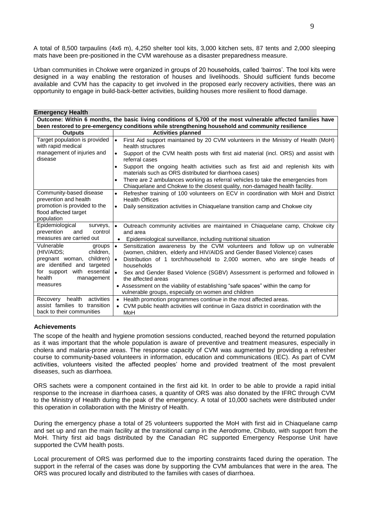A total of 8,500 tarpaulins (4x6 m), 4,250 shelter tool kits, 3,000 kitchen sets, 87 tents and 2,000 sleeping mats have been pre-positioned in the CVM warehouse as a disaster preparedness measure.

Urban communities in Chokwe were organized in groups of 20 households, called 'bairros'. The tool kits were designed in a way enabling the restoration of houses and livelihoods. Should sufficient funds become available and CVM has the capacity to get involved in the proposed early recovery activities, there was an opportunity to engage in build-back-better activities, building houses more resilient to flood damage.

| <b>Emergency Health</b>                                                                                      |                                                                                                                                                                                                                                                                           |  |  |  |  |  |  |  |
|--------------------------------------------------------------------------------------------------------------|---------------------------------------------------------------------------------------------------------------------------------------------------------------------------------------------------------------------------------------------------------------------------|--|--|--|--|--|--|--|
| Outcome: Within 6 months, the basic living conditions of 5,700 of the most vulnerable affected families have |                                                                                                                                                                                                                                                                           |  |  |  |  |  |  |  |
| been restored to pre-emergency conditions while strengthening household and community resilience             |                                                                                                                                                                                                                                                                           |  |  |  |  |  |  |  |
| <b>Outputs</b>                                                                                               | <b>Activities planned</b>                                                                                                                                                                                                                                                 |  |  |  |  |  |  |  |
| Target population is provided<br>with rapid medical                                                          | $\bullet$<br>First Aid support maintained by 20 CVM volunteers in the Ministry of Health (MoH)<br>health structures                                                                                                                                                       |  |  |  |  |  |  |  |
| management of injuries and<br>disease                                                                        | Support of the CVM health posts with first aid material (incl. ORS) and assist with<br>$\bullet$<br>referral cases                                                                                                                                                        |  |  |  |  |  |  |  |
|                                                                                                              | Support the ongoing health activities such as first aid and replenish kits with<br>$\bullet$<br>materials such as ORS distributed for diarrhoea cases)                                                                                                                    |  |  |  |  |  |  |  |
|                                                                                                              | There are 2 ambulances working as referral vehicles to take the emergencies from<br>Chiaquelane and Chokwe to the closest quality, non-damaged health facility.                                                                                                           |  |  |  |  |  |  |  |
| Community-based disease<br>prevention and health                                                             | Refresher training of 100 volunteers on ECV in coordination with MoH and District<br>$\bullet$<br><b>Health Offices</b>                                                                                                                                                   |  |  |  |  |  |  |  |
| promotion is provided to the<br>flood affected target                                                        | Daily sensitization activities in Chiaquelane transition camp and Chokwe city<br>$\bullet$                                                                                                                                                                                |  |  |  |  |  |  |  |
| population                                                                                                   |                                                                                                                                                                                                                                                                           |  |  |  |  |  |  |  |
| Epidemiological<br>surveys,<br>control                                                                       | Outreach community activities are maintained in Chiaquelane camp, Chokwe city<br>$\bullet$                                                                                                                                                                                |  |  |  |  |  |  |  |
| prevention<br>and<br>measures are carried out                                                                | and area<br>• Epidemiological surveillance, including nutritional situation                                                                                                                                                                                               |  |  |  |  |  |  |  |
| Vulnerable<br>groups<br>children.<br>(HIV/AIDS;<br>pregnant woman, children)<br>are identified and targeted  | $\bullet$<br>Sensitization awareness by the CVM volunteers and follow up on vulnerable<br>(women, children, elderly and HIV/AIDS and Gender Based Violence) cases<br>$\bullet$<br>Distribution of 1 torch/household to 2,000 women, who are single heads of<br>households |  |  |  |  |  |  |  |
| for support with<br>essential<br>health<br>management<br>measures                                            | $\bullet$<br>Sex and Gender Based Violence (SGBV) Assessment is performed and followed in<br>the affected areas<br>• Assessment on the viability of establishing "safe spaces" within the camp for                                                                        |  |  |  |  |  |  |  |
|                                                                                                              | vulnerable groups, especially on women and children                                                                                                                                                                                                                       |  |  |  |  |  |  |  |
| activities<br>health<br>Recovery<br>assist families to transition<br>back to their communities               | Health promotion programmes continue in the most affected areas.<br>$\bullet$<br>• CVM public health activities will continue in Gaza district in coordination with the<br>MoH                                                                                            |  |  |  |  |  |  |  |

## **Achievements**

The scope of the health and hygiene promotion sessions conducted, reached beyond the returned population as it was important that the whole population is aware of preventive and treatment measures, especially in cholera and malaria-prone areas. The response capacity of CVM was augmented by providing a refresher course to community-based volunteers in information, education and communications (IEC). As part of CVM activities, volunteers visited the affected peoples' home and provided treatment of the most prevalent diseases, such as diarrhoea.

ORS sachets were a component contained in the first aid kit. In order to be able to provide a rapid initial response to the increase in diarrhoea cases, a quantity of ORS was also donated by the IFRC through CVM to the Ministry of Health during the peak of the emergency. A total of 10,000 sachets were distributed under this operation in collaboration with the Ministry of Health.

During the emergency phase a total of 25 volunteers supported the MoH with first aid in Chiaquelane camp and set up and ran the main facility at the transitional camp in the Aerodrome, Chibuto, with support from the MoH. Thirty first aid bags distributed by the Canadian RC supported Emergency Response Unit have supported the CVM health posts.

Local procurement of ORS was performed due to the importing constraints faced during the operation. The support in the referral of the cases was done by supporting the CVM ambulances that were in the area. The ORS was procured locally and distributed to the families with cases of diarrhoea.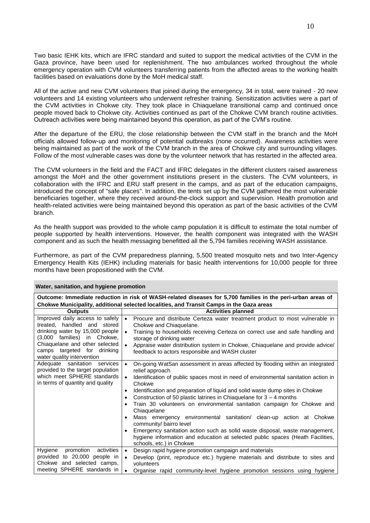Two basic IEHK kits, which are IFRC standard and suited to support the medical activities of the CVM in the Gaza province, have been used for replenishment. The two ambulances worked throughout the whole emergency operation with CVM volunteers transferring patients from the affected areas to the working health facilities based on evaluations done by the MoH medical staff.

All of the active and new CVM volunteers that joined during the emergency, 34 in total, were trained - 20 new volunteers and 14 existing volunteers who underwent refresher training. Sensitization activities were a part of the CVM activities in Chokwe city. They took place in Chiaquelane transitional camp and continued once people moved back to Chokwe city. Activities continued as part of the Chokwe CVM branch routine activities. Outreach activities were being maintained beyond this operation, as part of the CVM's routine.

After the departure of the ERU, the close relationship between the CVM staff in the branch and the MoH officials allowed follow-up and monitoring of potential outbreaks (none occurred). Awareness activities were being maintained as part of the work of the CVM branch in the area of Chokwe city and surrounding villages. Follow of the most vulnerable cases was done by the volunteer network that has restarted in the affected area.

The CVM volunteers in the field and the FACT and IFRC delegates in the different clusters raised awareness amongst the MoH and the other government institutions present in the clusters. The CVM volunteers, in collaboration with the IFRC and ERU staff present in the camps, and as part of the education campaigns, introduced the concept of "safe places". In addition, the tents set up by the CVM gathered the most vulnerable beneficiaries together, where they received around-the-clock support and supervision. Health promotion and health-related activities were being maintained beyond this operation as part of the basic activities of the CVM branch.

As the health support was provided to the whole camp population it is difficult to estimate the total number of people supported by health interventions. However, the health component was integrated with the WASH component and as such the health messaging benefitted all the 5,794 families receiving WASH assistance.

Furthermore, as part of the CVM preparedness planning, 5,500 treated mosquito nets and two Inter-Agency Emergency Health Kits (IEHK) including materials for basic health interventions for 10,000 people for three months have been propositioned with the CVM.

| Water, sanitation, and hygiene promotion                                                                                                |                                                                                                                                                                                                                                                                                 |  |  |  |  |  |  |
|-----------------------------------------------------------------------------------------------------------------------------------------|---------------------------------------------------------------------------------------------------------------------------------------------------------------------------------------------------------------------------------------------------------------------------------|--|--|--|--|--|--|
| Outcome: Immediate reduction in risk of WASH-related diseases for 5,700 families in the peri-urban areas of                             |                                                                                                                                                                                                                                                                                 |  |  |  |  |  |  |
| Chokwe Municipality, additional selected localities, and Transit Camps in the Gaza areas                                                |                                                                                                                                                                                                                                                                                 |  |  |  |  |  |  |
| <b>Outputs</b>                                                                                                                          | <b>Activities planned</b>                                                                                                                                                                                                                                                       |  |  |  |  |  |  |
| Improved daily access to safely<br>treated, handled and stored                                                                          | Procure and distribute Certeza water treatment product to most vulnerable in<br>$\bullet$<br>Chokwe and Chiaquelane.                                                                                                                                                            |  |  |  |  |  |  |
| drinking water by 15,000 people<br>(3,000 families) in Chokwe,                                                                          | Training to households receiving Certeza on correct use and safe handling and<br>$\bullet$<br>storage of drinking water                                                                                                                                                         |  |  |  |  |  |  |
| Chiaquelane and other selected<br>camps targeted for drinking<br>water quality intervention                                             | Appraise water distribution system in Chokwe, Chiaquelane and provide advice/<br>$\bullet$<br>feedback to actors responsible and WASH cluster                                                                                                                                   |  |  |  |  |  |  |
| Adequate sanitation<br>services<br>provided to the target population<br>which meet SPHERE standards<br>in terms of quantity and quality | $\bullet$<br>On-going WatSan assessment in areas affected by flooding within an integrated<br>relief approach<br>Identification of public spaces most in need of environmental sanitation action in<br>$\bullet$<br>Chokwe                                                      |  |  |  |  |  |  |
|                                                                                                                                         | Identification and preparation of liquid and solid waste dump sites in Chokwe<br>$\bullet$<br>Construction of 50 plastic latrines in Chiaquelane for $3 - 4$ months<br>$\bullet$<br>Train 30 volunteers on environmental sanitation campaign for Chokwe and<br>٠<br>Chiaquelane |  |  |  |  |  |  |
|                                                                                                                                         | Mass emergency environmental sanitation/ clean-up action at Chokwe<br>community/ bairro level                                                                                                                                                                                   |  |  |  |  |  |  |
|                                                                                                                                         | Emergency sanitation action such as solid waste disposal, waste management,<br>$\bullet$<br>hygiene information and education at selected public spaces (Heath Facilities,<br>schools, etc.) in Chokwe                                                                          |  |  |  |  |  |  |
| Hygiene promotion activities                                                                                                            | Design rapid hygiene promotion campaign and materials<br>$\bullet$                                                                                                                                                                                                              |  |  |  |  |  |  |
| provided to 20,000 people in<br>Chokwe and selected camps,                                                                              | Develop (print, reproduce etc.) hygiene materials and distribute to sites and<br>$\bullet$<br>volunteers                                                                                                                                                                        |  |  |  |  |  |  |
| meeting SPHERE standards in                                                                                                             | Organise rapid community-level hygiene promotion sessions using hygiene<br>$\bullet$                                                                                                                                                                                            |  |  |  |  |  |  |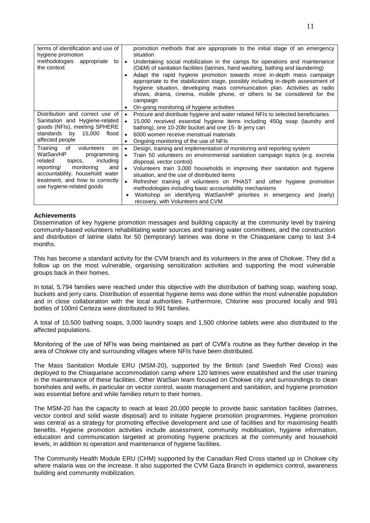| terms of identification and use of<br>hygiene promotion<br>methodologies appropriate to<br>the context                                                                                                                                          | promotion methods that are appropriate to the initial stage of an emergency<br>situation<br>Undertaking social mobilization in the camps for operations and maintenance<br>$\bullet$<br>(O&M) of sanitation facilities (latrines, hand washing, bathing and laundering)<br>Adapt the rapid hygiene promotion towards more in-depth mass campaign<br>appropriate to the stabilization stage, possibly including in-depth assessment of<br>hygiene situation, developing mass communication plan. Activities as radio<br>shows, drama, cinema, mobile phone, or others to be considered for the<br>campaign                |
|-------------------------------------------------------------------------------------------------------------------------------------------------------------------------------------------------------------------------------------------------|--------------------------------------------------------------------------------------------------------------------------------------------------------------------------------------------------------------------------------------------------------------------------------------------------------------------------------------------------------------------------------------------------------------------------------------------------------------------------------------------------------------------------------------------------------------------------------------------------------------------------|
|                                                                                                                                                                                                                                                 | On-going monitoring of hygiene activities<br>٠                                                                                                                                                                                                                                                                                                                                                                                                                                                                                                                                                                           |
| Distribution and correct use of<br>Sanitation and Hygiene-related<br>goods (NFIs), meeting SPHERE<br>standards by 15,000<br>flood<br>affected people                                                                                            | Procure and distribute hygiene and water related NFIs to selected beneficiaries<br>$\bullet$<br>15,000 received essential hygiene items including 450g soap (laundry and<br>$\bullet$<br>bathing), one 10-20ltr bucket and one 15- Itr jerry can<br>6000 women receive menstrual materials<br>$\bullet$<br>Ongoing monitoring of the use of NFIs<br>$\bullet$                                                                                                                                                                                                                                                            |
| Training<br>of<br>volunteers<br><sub>on</sub><br>WatSan/HP<br>programming<br>related<br>including<br>topics.<br>reporting/ monitoring<br>and<br>accountability, household water<br>treatment, and how to correctly<br>use hygiene-related goods | Design, training and implementation of monitoring and reporting system<br>$\bullet$<br>Train 50 volunteers on environmental sanitation campaign topics (e.g. excreta<br>$\bullet$<br>disposal, vector control)<br>Volunteers train 3,000 households in improving their sanitation and hygiene<br>$\bullet$<br>situation, and the use of distributed items<br>Refresher training of volunteers on PHAST and other hygiene promotion<br>$\bullet$<br>methodologies including basic accountability mechanisms<br>Workshop on identifying WatSan/HP priorities in emergency and (early)<br>recovery, with Volunteers and CVM |

## **Achievements**

Dissemination of key hygiene promotion messages and building capacity at the community level by training community-based volunteers rehabilitating water sources and training water committees, and the construction and distribution of latrine slabs for 50 (temporary) latrines was done in the Chiaquelane camp to last 3-4 months.

This has become a standard activity for the CVM branch and its volunteers in the area of Chokwe. They did a follow up on the most vulnerable, organising sensitization activities and supporting the most vulnerable groups back in their homes.

In total, 5,794 families were reached under this objective with the distribution of bathing soap, washing soap, buckets and jerry cans. Distribution of essential hygiene items was done within the most vulnerable population and in close collaboration with the local authorities. Furthermore, Chlorine was procured locally and 991 bottles of 100ml Certeza were distributed to 991 families.

A total of 10,500 bathing soaps, 3,000 laundry soaps and 1,500 chlorine tablets were also distributed to the affected populations.

Monitoring of the use of NFIs was being maintained as part of CVM's routine as they further develop in the area of Chokwe city and surrounding villages where NFIs have been distributed.

The Mass Sanitation Module ERU (MSM-20), supported by the British (and Swedish Red Cross) was deployed to the Chiaquelane accommodation camp where 120 latrines were established and the user training in the maintenance of these facilities. Other WatSan team focused on Chokwe city and surroundings to clean boreholes and wells, in particular on vector control, waste management and sanitation, and hygiene promotion was essential before and while families return to their homes.

The MSM-20 has the capacity to reach at least 20,000 people to provide basic sanitation facilities (latrines, vector control and solid waste disposal) and to initiate hygiene promotion programmes. Hygiene promotion was central as a strategy for promoting effective development and use of facilities and for maximising health benefits. Hygiene promotion activities include assessment, community mobilisation, hygiene information, education and communication targeted at promoting hygiene practices at the community and household levels, in addition to operation and maintenance of hygiene facilities.

The Community Health Module ERU (CHM) supported by the Canadian Red Cross started up in Chokwe city where malaria was on the increase. It also supported the CVM Gaza Branch in epidemics control, awareness building and community mobilization.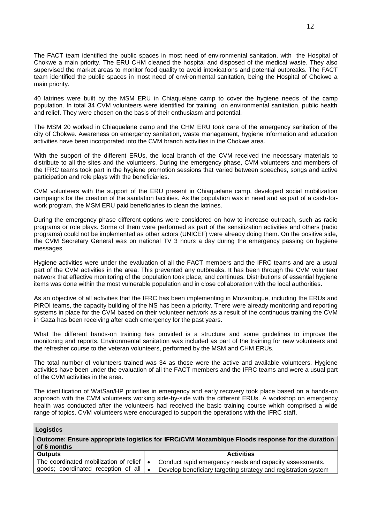The FACT team identified the public spaces in most need of environmental sanitation, with the Hospital of Chokwe a main priority. The ERU CHM cleaned the hospital and disposed of the medical waste. They also supervised the market areas to monitor food quality to avoid intoxications and potential outbreaks. The FACT team identified the public spaces in most need of environmental sanitation, being the Hospital of Chokwe a main priority.

40 latrines were built by the MSM ERU in Chiaquelane camp to cover the hygiene needs of the camp population. In total 34 CVM volunteers were identified for training on environmental sanitation, public health and relief. They were chosen on the basis of their enthusiasm and potential.

The MSM 20 worked in Chiaquelane camp and the CHM ERU took care of the emergency sanitation of the city of Chokwe. Awareness on emergency sanitation, waste management, hygiene information and education activities have been incorporated into the CVM branch activities in the Chokwe area.

With the support of the different ERUs, the local branch of the CVM received the necessary materials to distribute to all the sites and the volunteers. During the emergency phase, CVM volunteers and members of the IFRC teams took part in the hygiene promotion sessions that varied between speeches, songs and active participation and role plays with the beneficiaries.

CVM volunteers with the support of the ERU present in Chiaquelane camp, developed social mobilization campaigns for the creation of the sanitation facilities. As the population was in need and as part of a cash-forwork program, the MSM ERU paid beneficiaries to clean the latrines.

During the emergency phase different options were considered on how to increase outreach, such as radio programs or role plays. Some of them were performed as part of the sensitization activities and others (radio programs) could not be implemented as other actors (UNICEF) were already doing them. On the positive side, the CVM Secretary General was on national TV 3 hours a day during the emergency passing on hygiene messages.

Hygiene activities were under the evaluation of all the FACT members and the IFRC teams and are a usual part of the CVM activities in the area. This prevented any outbreaks. It has been through the CVM volunteer network that effective monitoring of the population took place, and continues. Distributions of essential hygiene items was done within the most vulnerable population and in close collaboration with the local authorities.

As an objective of all activities that the IFRC has been implementing in Mozambique, including the ERUs and PIROI teams, the capacity building of the NS has been a priority. There were already monitoring and reporting systems in place for the CVM based on their volunteer network as a result of the continuous training the CVM in Gaza has been receiving after each emergency for the past years.

What the different hands-on training has provided is a structure and some guidelines to improve the monitoring and reports. Environmental sanitation was included as part of the training for new volunteers and the refresher course to the veteran volunteers, performed by the MSM and CHM ERUs.

The total number of volunteers trained was 34 as those were the active and available volunteers. Hygiene activities have been under the evaluation of all the FACT members and the IFRC teams and were a usual part of the CVM activities in the area.

The identification of WatSan/HP priorities in emergency and early recovery took place based on a hands-on approach with the CVM volunteers working side-by-side with the different ERUs. A workshop on emergency health was conducted after the volunteers had received the basic training course which comprised a wide range of topics. CVM volunteers were encouraged to support the operations with the IFRC staff.

| LOGISTICS                                                                                      |                                                         |  |  |  |  |  |
|------------------------------------------------------------------------------------------------|---------------------------------------------------------|--|--|--|--|--|
| Outcome: Ensure appropriate logistics for IFRC/CVM Mozambique Floods response for the duration |                                                         |  |  |  |  |  |
| of 6 months                                                                                    |                                                         |  |  |  |  |  |
| <b>Outputs</b>                                                                                 | <b>Activities</b>                                       |  |  |  |  |  |
| The coordinated mobilization of relief $\vert \bullet \vert$                                   | Conduct rapid emergency needs and capacity assessments. |  |  |  |  |  |

**Logistics**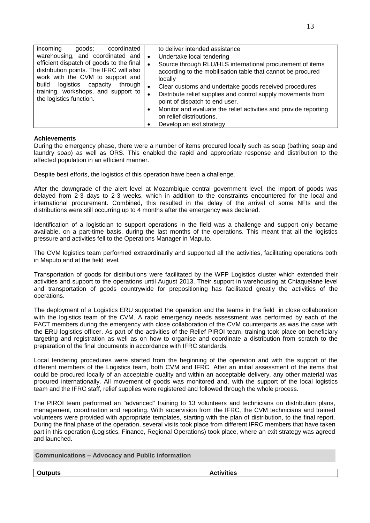| incoming<br>goods;<br>coordinated                                           | to deliver intended assistance                                            |
|-----------------------------------------------------------------------------|---------------------------------------------------------------------------|
| warehousing, and coordinated and                                            | Undertake local tendering<br>$\bullet$                                    |
| efficient dispatch of goods to the final                                    | Source through RLU/HLS international procurement of items<br>$\bullet$    |
| distribution points. The IFRC will also<br>work with the CVM to support and | according to the mobilisation table that cannot be procured               |
| logistics capacity<br>build<br>through I                                    | locally                                                                   |
| training, workshops, and support to                                         | Clear customs and undertake goods received procedures<br>$\bullet$        |
| the logistics function.                                                     | Distribute relief supplies and control supply movements from<br>$\bullet$ |
|                                                                             | point of dispatch to end user.                                            |
|                                                                             | Monitor and evaluate the relief activities and provide reporting<br>٠     |
|                                                                             | on relief distributions.                                                  |
|                                                                             | Develop an exit strategy                                                  |

## **Achievements**

During the emergency phase, there were a number of items procured locally such as soap (bathing soap and laundry soap) as well as ORS. This enabled the rapid and appropriate response and distribution to the affected population in an efficient manner.

Despite best efforts, the logistics of this operation have been a challenge.

After the downgrade of the alert level at Mozambique central government level, the import of goods was delayed from 2-3 days to 2-3 weeks, which in addition to the constraints encountered for the local and international procurement. Combined, this resulted in the delay of the arrival of some NFIs and the distributions were still occurring up to 4 months after the emergency was declared.

Identification of a logistician to support operations in the field was a challenge and support only became available, on a part-time basis, during the last months of the operations. This meant that all the logistics pressure and activities fell to the Operations Manager in Maputo.

The CVM logistics team performed extraordinarily and supported all the activities, facilitating operations both in Maputo and at the field level.

Transportation of goods for distributions were facilitated by the WFP Logistics cluster which extended their activities and support to the operations until August 2013. Their support in warehousing at Chiaquelane level and transportation of goods countrywide for prepositioning has facilitated greatly the activities of the operations.

The deployment of a Logistics ERU supported the operation and the teams in the field in close collaboration with the logistics team of the CVM. A rapid emergency needs assessment was performed by each of the FACT members during the emergency with close collaboration of the CVM counterparts as was the case with the ERU logistics officer. As part of the activities of the Relief PIROI team, training took place on beneficiary targeting and registration as well as on how to organise and coordinate a distribution from scratch to the preparation of the final documents in accordance with IFRC standards.

Local tendering procedures were started from the beginning of the operation and with the support of the different members of the Logistics team, both CVM and IFRC. After an initial assessment of the items that could be procured locally of an acceptable quality and within an acceptable delivery, any other material was procured internationally. All movement of goods was monitored and, with the support of the local logistics team and the IFRC staff, relief supplies were registered and followed through the whole process.

The PIROI team performed an "advanced" training to 13 volunteers and technicians on distribution plans, management, coordination and reporting. With supervision from the IFRC, the CVM technicians and trained volunteers were provided with appropriate templates, starting with the plan of distribution, to the final report. During the final phase of the operation, several visits took place from different IFRC members that have taken part in this operation (Logistics, Finance, Regional Operations) took place, where an exit strategy was agreed and launched.

**Communications – Advocacy and Public information**

**Outputs Activities**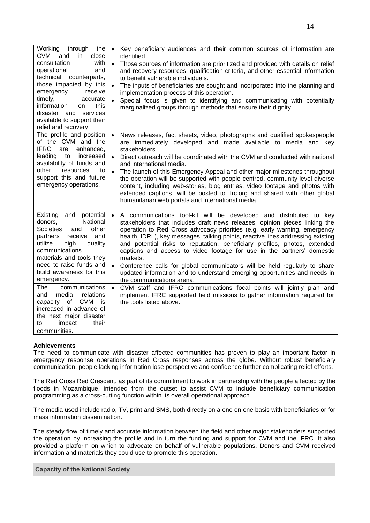|  | aaa af infanna |
|--|----------------|
|  |                |
|  |                |
|  |                |
|  |                |
|  | и              |

| Working<br>through<br>the<br><b>CVM</b><br>and<br>in<br>close                                                                                                                                                                                                                                                                                                                                                                                        | Key beneficiary audiences and their common sources of information are<br>$\bullet$<br>identified.                                                                                                                                                                                                                                                                                                                                                                                                                                                                                                                                                                                                                                                                                                                                                                                     |
|------------------------------------------------------------------------------------------------------------------------------------------------------------------------------------------------------------------------------------------------------------------------------------------------------------------------------------------------------------------------------------------------------------------------------------------------------|---------------------------------------------------------------------------------------------------------------------------------------------------------------------------------------------------------------------------------------------------------------------------------------------------------------------------------------------------------------------------------------------------------------------------------------------------------------------------------------------------------------------------------------------------------------------------------------------------------------------------------------------------------------------------------------------------------------------------------------------------------------------------------------------------------------------------------------------------------------------------------------|
| consultation<br>with<br>operational<br>and<br>technical counterparts,<br>those impacted by this<br>receive<br>emergency<br>timely,<br>accurate<br>information<br>this<br>on<br>disaster and services<br>available to support their<br>relief and recovery                                                                                                                                                                                            | Those sources of information are prioritized and provided with details on relief<br>$\bullet$<br>and recovery resources, qualification criteria, and other essential information<br>to benefit vulnerable individuals.<br>The inputs of beneficiaries are sought and incorporated into the planning and<br>implementation process of this operation.<br>Special focus is given to identifying and communicating with potentially<br>marginalized groups through methods that ensure their dignity.                                                                                                                                                                                                                                                                                                                                                                                    |
| The profile and position<br>of the CVM and the<br><b>IFRC</b><br>enhanced,<br>are<br>leading to<br>increased<br>availability of funds and<br>other<br>resources<br>to<br>support this and future<br>emergency operations.                                                                                                                                                                                                                            | News releases, fact sheets, video, photographs and qualified spokespeople<br>$\bullet$<br>are immediately developed and made available to media and key<br>stakeholders.<br>Direct outreach will be coordinated with the CVM and conducted with national<br>and international media.<br>The launch of this Emergency Appeal and other major milestones throughout<br>$\bullet$<br>the operation will be supported with people-centred, community level diverse<br>content, including web-stories, blog entries, video footage and photos with<br>extended captions, will be posted to ifrc.org and shared with other global<br>humanitarian web portals and international media                                                                                                                                                                                                       |
| Existing<br>and<br>potential<br>National<br>donors,<br>other<br><b>Societies</b><br>and<br>receive<br>and<br>partners<br>utilize<br>high<br>quality<br>communications<br>materials and tools they<br>need to raise funds and<br>build awareness for this<br>emergency.<br>communications<br>The<br>relations<br>media<br>and<br>capacity of CVM<br>is<br>increased in advance of<br>the next major disaster<br>impact<br>their<br>to<br>communities. | A communications tool-kit will be developed and distributed to key<br>$\bullet$<br>stakeholders that includes draft news releases, opinion pieces linking the<br>operation to Red Cross advocacy priorities (e.g. early warning, emergency<br>health, IDRL), key messages, talking points, reactive lines addressing existing<br>and potential risks to reputation, beneficiary profiles, photos, extended<br>captions and access to video footage for use in the partners' domestic<br>markets.<br>Conference calls for global communicators will be held regularly to share<br>updated information and to understand emerging opportunities and needs in<br>the communications arena.<br>CVM staff and IFRC communications focal points will jointly plan and<br>$\bullet$<br>implement IFRC supported field missions to gather information required for<br>the tools listed above. |

## **Achievements**

The need to communicate with disaster affected communities has proven to play an important factor in emergency response operations in Red Cross responses across the globe. Without robust beneficiary communication, people lacking information lose perspective and confidence further complicating relief efforts.

The Red Cross Red Crescent, as part of its commitment to work in partnership with the people affected by the floods in Mozambique, intended from the outset to assist CVM to include beneficiary communication programming as a cross-cutting function within its overall operational approach.

The media used include radio, TV, print and SMS, both directly on a one on one basis with beneficiaries or for mass information dissemination.

The steady flow of timely and accurate information between the field and other major stakeholders supported the operation by increasing the profile and in turn the funding and support for CVM and the IFRC. It also provided a platform on which to advocate on behalf of vulnerable populations. Donors and CVM received information and materials they could use to promote this operation.

## **Capacity of the National Society**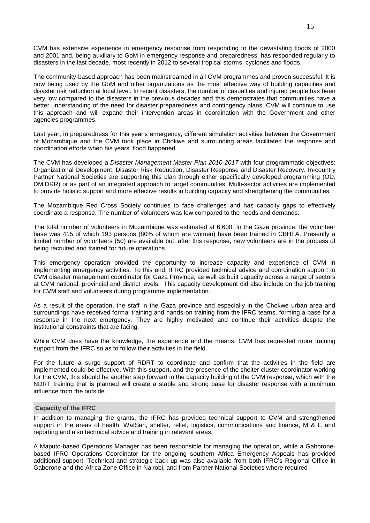CVM has extensive experience in emergency response from responding to the devastating floods of 2000 and 2001 and, being auxiliary to GoM in emergency response and preparedness, has responded regularly to disasters in the last decade, most recently in 2012 to several tropical storms, cyclones and floods.

The community-based approach has been mainstreamed in all CVM programmes and proven successful. It is now being used by the GoM and other organizations as the most effective way of building capacities and disaster risk reduction at local level. In recent disasters, the number of casualties and injured people has been very low compared to the disasters in the previous decades and this demonstrates that communities have a better understanding of the need for disaster preparedness and contingency plans. CVM will continue to use this approach and will expand their intervention areas in coordination with the Government and other agencies programmes.

Last year, in preparedness for this year's emergency, different simulation activities between the Government of Mozambique and the CVM took place in Chokwe and surrounding areas facilitated the response and coordination efforts when his years' flood happened.

The CVM has developed a *Disaster Management Master Plan 2010-2017* with four programmatic objectives: Organizational Development, Disaster Risk Reduction, Disaster Response and Disaster Recovery. In-country Partner National Societies are supporting this plan through either specifically developed programming (OD, DM,DRR) or as part of an integrated approach to target communities. Multi-sector activities are implemented to provide holistic support and more effective results in building capacity and strengthening the communities.

The Mozambique Red Cross Society continues to face challenges and has capacity gaps to effectively coordinate a response. The number of volunteers was low compared to the needs and demands.

The total number of volunteers in Mozambique was estimated at 6,600. In the Gaza province, the volunteer base was 415 of which 193 persons (80% of whom are women) have been trained in CBHFA. Presently a limited number of volunteers (50) are available but, after this response, new volunteers are in the process of being recruited and trained for future operations.

This emergency operation provided the opportunity to increase capacity and experience of CVM in implementing emergency activities. To this end, IFRC provided technical advice and coordination support to CVM disaster management coordinator for Gaza Province, as well as built capacity across a range of sectors at CVM national, provincial and district levels. This capacity development did also include on the job training for CVM staff and volunteers during programme implementation.

As a result of the operation, the staff in the Gaza province and especially in the Chokwe urban area and surroundings have received formal training and hands-on training from the IFRC teams, forming a base for a response in the next emergency. They are highly motivated and continue their activities despite the institutional constraints that are facing.

While CVM does have the knowledge, the experience and the means, CVM has requested more training support from the IFRC so as to follow their activities in the field.

For the future a surge support of RDRT to coordinate and confirm that the activities in the field are implemented could be effective. With this support, and the presence of the shelter cluster coordinator working for the CVM, this should be another step forward in the capacity building of the CVM response, which with the NDRT training that is planned will create a stable and strong base for disaster response with a minimum influence from the outside.

### **Capacity of the IFRC**

In addition to managing the grants, the IFRC has provided technical support to CVM and strengthened support in the areas of health, WatSan, shelter, relief, logistics, communications and finance, M & E and reporting and also technical advice and training in relevant areas.

A Maputo-based Operations Manager has been responsible for managing the operation, while a Gaboronebased IFRC Operations Coordinator for the ongoing southern Africa Emergency Appeals has provided additional support. Technical and strategic back-up was also available from both IFRC's Regional Office in Gaborone and the Africa Zone Office in Nairobi, and from Partner National Societies where required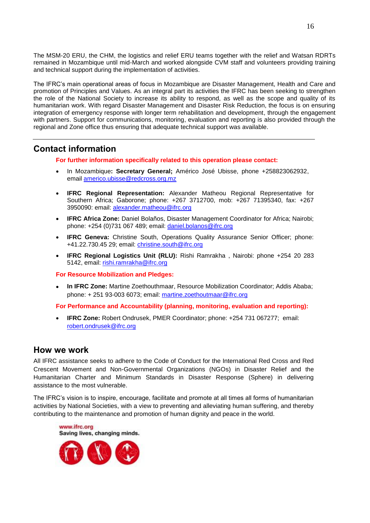The MSM-20 ERU, the CHM, the logistics and relief ERU teams together with the relief and Watsan RDRTs remained in Mozambique until mid-March and worked alongside CVM staff and volunteers providing training and technical support during the implementation of activities.

The IFRC's main operational areas of focus in Mozambique are Disaster Management, Health and Care and promotion of Principles and Values. As an integral part its activities the IFRC has been seeking to strengthen the role of the National Society to increase its ability to respond, as well as the scope and quality of its humanitarian work. With regard Disaster Management and Disaster Risk Reduction, the focus is on ensuring integration of emergency response with longer term rehabilitation and development, through the engagement with partners. Support for communications, monitoring, evaluation and reporting is also provided through the regional and Zone office thus ensuring that adequate technical support was available.

# **Contact information**

**For further information specifically related to this operation please contact:**

- In Mozambique**: Secretary General;** Américo José Ubisse, phone +258823062932, email [americo.ubisse@redcross.org.mz](mailto:americo.ubisse@redcross.org.mz)
- **IFRC Regional Representation:** Alexander Matheou Regional Representative for Southern Africa; Gaborone; phone: +267 3712700, mob: +267 71395340, fax: +267 3950090: email: [alexander.matheou@ifrc.org](mailto:alexander.matheou@ifrc.org)
- **IFRC Africa Zone:** Daniel Bolaños, Disaster Management Coordinator for Africa; Nairobi; phone: +254 (0)731 067 489; email: [daniel.bolanos@ifrc.org](mailto:daniel.bolanos@ifrc.org)
- **IFRC Geneva:** Christine South, Operations Quality Assurance Senior Officer; phone: +41.22.730.45 29; email: [christine.south@ifrc.org](mailto:christine.south@ifrc.org)
- **IFRC Regional Logistics Unit (RLU):** Rishi Ramrakha , Nairobi: phone +254 20 283 5142, email: [rishi.ramrakha@ifrc.org](mailto:rishi.ramrakha@ifrc.org)

**For Resource Mobilization and Pledges:**

 **In IFRC Zone:** Martine Zoethouthmaar, Resource Mobilization Coordinator; Addis Ababa; phone: + 251 93-003 6073; email: [martine.zoethoutmaar@ifrc.org](mailto:martine.zoethoutmaar@ifrc.org)

**For Performance and Accountability (planning, monitoring, evaluation and reporting):** 

 **IFRC Zone:** Robert Ondrusek, PMER Coordinator; phone: +254 731 067277; email: [robert.ondrusek@ifrc.org](mailto:robert.ondrusek@ifrc.org)

# **How we work**

All IFRC assistance seeks to adhere to the Code of Conduct for the International Red Cross and Red Crescent Movement and Non-Governmental Organizations (NGOs) in Disaster Relief and the Humanitarian Charter and Minimum Standards in Disaster Response (Sphere) in delivering assistance to the most vulnerable.

The IFRC's vision is to inspire, encourage, facilitate and promote at all times all forms of humanitarian activities by National Societies, with a view to preventing and alleviating human suffering, and thereby contributing to the maintenance and promotion of human dignity and peace in the world.

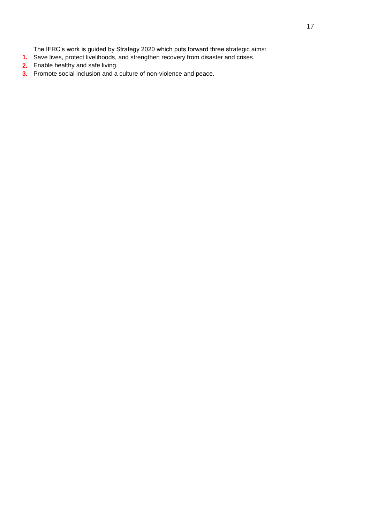The IFRC's work is guided by Strategy 2020 which puts forward three strategic aims:

- **1.** Save lives, protect livelihoods, and strengthen recovery from disaster and crises.
- **2.** Enable healthy and safe living.
- **3.** Promote social inclusion and a culture of non-violence and peace.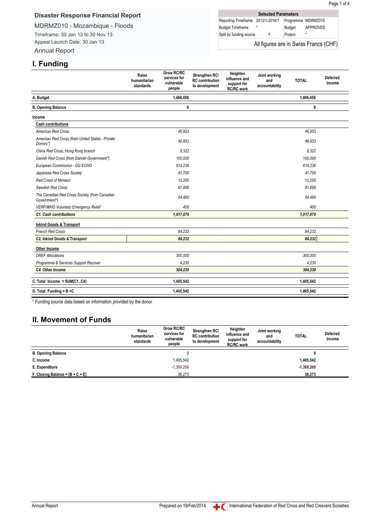## **Disaster Response Financial Report**

MDRMZ010 - Mozambique - Floods Timeframe: 30 Jan 13 to 30 Nov 13 Appeal Launch Date: 30 Jan 13 Annual Report

| <b>Selected Parameters</b>        |  |  |         |                                       |  |
|-----------------------------------|--|--|---------|---------------------------------------|--|
| Reporting Timeframe 2013/1-2014/1 |  |  |         | Programme MDRMZ010                    |  |
| <b>Budget Timeframe</b>           |  |  | Budget  | APPROVED                              |  |
| Split by funding source           |  |  | Project | $\star$                               |  |
|                                   |  |  |         | All figures are in Swiss Francs (CHF) |  |

## **I. Funding**

|                                                               | Raise<br>humanitarian<br>standards | <b>Grow RC/RC</b><br>services for<br>vulnerable<br>people | Strengthen RC/<br><b>RC</b> contribution<br>to development | Heighten<br>influence and<br>support for<br><b>RC/RC</b> work | Joint working<br>and<br>accountability | <b>TOTAL</b> | <b>Deferred</b><br>Income |
|---------------------------------------------------------------|------------------------------------|-----------------------------------------------------------|------------------------------------------------------------|---------------------------------------------------------------|----------------------------------------|--------------|---------------------------|
| A. Budget                                                     |                                    | 1,466,456                                                 |                                                            |                                                               |                                        | 1,466,456    |                           |
| <b>B. Opening Balance</b>                                     |                                    | 0                                                         |                                                            |                                                               |                                        | 0            |                           |
| Income                                                        |                                    |                                                           |                                                            |                                                               |                                        |              |                           |
| <b>Cash contributions</b>                                     |                                    |                                                           |                                                            |                                                               |                                        |              |                           |
| <b>American Red Cross</b>                                     |                                    | 46,953                                                    |                                                            |                                                               |                                        | 46,953       |                           |
| American Red Cross (from United States - Private<br>Donors*)  |                                    | 46,953                                                    |                                                            |                                                               |                                        | 46,953       |                           |
| China Red Cross, Hong Kong branch                             |                                    | 8,322                                                     |                                                            |                                                               |                                        | 8,322        |                           |
| Danish Red Cross (from Danish Government*)                    |                                    | 100,000                                                   |                                                            |                                                               |                                        | 100,000      |                           |
| European Commission - DG ECHO                                 |                                    | 614.236                                                   |                                                            |                                                               |                                        | 614,236      |                           |
| Japanese Red Cross Society                                    |                                    | 41.700                                                    |                                                            |                                                               |                                        | 41.700       |                           |
| Red Cross of Monaco                                           |                                    | 12.200                                                    |                                                            |                                                               |                                        | 12.200       |                           |
| Swedish Red Cross                                             |                                    | 91,856                                                    |                                                            |                                                               |                                        | 91,856       |                           |
| The Canadian Red Cross Society (from Canadian<br>Government*) |                                    | 54,460                                                    |                                                            |                                                               |                                        | 54,460       |                           |
| VERF/WHO Voluntary Emergency Relief                           |                                    | 400                                                       |                                                            |                                                               |                                        | 400          |                           |
| <b>C1. Cash contributions</b>                                 |                                    | 1,017,079                                                 |                                                            |                                                               |                                        | 1,017,079    |                           |
| <b>Inkind Goods &amp; Transport</b>                           |                                    |                                                           |                                                            |                                                               |                                        |              |                           |
| <b>French Red Cross</b>                                       |                                    | 84,232                                                    |                                                            |                                                               |                                        | 84,232       |                           |
| <b>C2. Inkind Goods &amp; Transport</b>                       |                                    | 84,232                                                    |                                                            |                                                               |                                        | 84,232       |                           |
| Other Income                                                  |                                    |                                                           |                                                            |                                                               |                                        |              |                           |
| <b>DREF Allocations</b>                                       |                                    | 300,000                                                   |                                                            |                                                               |                                        | 300,000      |                           |
| Programme & Services Support Recover                          |                                    | 4.230                                                     |                                                            |                                                               |                                        | 4.230        |                           |
| <b>C4. Other Income</b>                                       |                                    | 304,230                                                   |                                                            |                                                               |                                        | 304,230      |                           |
| C. Total Income = SUM(C1C4)                                   |                                    | 1,405,542                                                 |                                                            |                                                               |                                        | 1,405,542    |                           |
| D. Total Funding = $B + C$                                    |                                    | 1,405,542                                                 |                                                            |                                                               |                                        | 1,405,542    |                           |

\* Funding source data based on information provided by the donor

# **II. Movement of Funds**

|                                    | Raise<br>humanitarian<br>standards | Grow RC/RC<br>services for<br>vulnerable<br>people | Strengthen RC/<br><b>RC</b> contribution<br>to development | Heighten<br>influence and<br>support for<br><b>RC/RC work</b> | Joint working<br>and<br>accountability | <b>TOTAL</b> | <b>Deferred</b><br>Income |
|------------------------------------|------------------------------------|----------------------------------------------------|------------------------------------------------------------|---------------------------------------------------------------|----------------------------------------|--------------|---------------------------|
| <b>B. Opening Balance</b>          |                                    |                                                    |                                                            |                                                               |                                        |              |                           |
| C. Income                          |                                    | 1,405,542                                          |                                                            |                                                               |                                        | 1,405,542    |                           |
| E. Expenditure                     |                                    | $-1,369,269$                                       |                                                            |                                                               |                                        | $-1,369,269$ |                           |
| F. Closing Balance = $(B + C + E)$ |                                    | 36,273                                             |                                                            |                                                               |                                        | 36,273       |                           |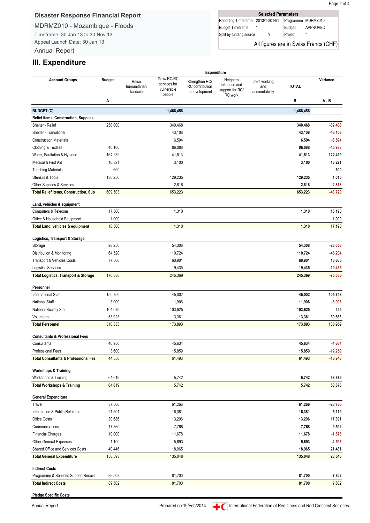# **Disaster Response Financial Report**

MDRMZ010 - Mozambique - Floods

Timeframe: 30 Jan 13 to 30 Nov 13 Appeal Launch Date: 30 Jan 13 Annual Report

|  | <b>Selected Parameters</b>            |  |  |         |                    |  |  |
|--|---------------------------------------|--|--|---------|--------------------|--|--|
|  | Reporting Timeframe 2013/1-2014/1     |  |  |         | Programme MDRMZ010 |  |  |
|  | <b>Budget Timeframe</b>               |  |  | Budget  | APPROVED           |  |  |
|  | Split by funding source               |  |  | Project | $\star$            |  |  |
|  | All figures are in Swiss Francs (CHF) |  |  |         |                    |  |  |

# **III. Expenditure**

|                                                 |               | Expenditure                        |                                                    |                                                     |                                                         |                                        |              |           |
|-------------------------------------------------|---------------|------------------------------------|----------------------------------------------------|-----------------------------------------------------|---------------------------------------------------------|----------------------------------------|--------------|-----------|
| <b>Account Groups</b>                           | <b>Budget</b> | Raise<br>humanitarian<br>standards | Grow RC/RC<br>services for<br>vulnerable<br>people | Strengthen RC/<br>RC contribution<br>to development | Heighten<br>influence and<br>support for RC/<br>RC work | Joint working<br>and<br>accountability | <b>TOTAL</b> | Variance  |
|                                                 | Α             |                                    |                                                    |                                                     |                                                         |                                        | В            | A - B     |
| <b>BUDGET (C)</b>                               |               |                                    | 1,466,456                                          |                                                     |                                                         |                                        | 1,466,456    |           |
| Relief items, Construction, Supplies            |               |                                    |                                                    |                                                     |                                                         |                                        |              |           |
| Shelter - Relief                                | 258,000       |                                    | 340,468                                            |                                                     |                                                         |                                        | 340,468      | $-82,468$ |
| Shelter - Transitional                          |               |                                    | 43,108                                             |                                                     |                                                         |                                        | 43,108       | $-43,108$ |
| <b>Construction Materials</b>                   |               |                                    | 6,594                                              |                                                     |                                                         |                                        | 6,594        | $-6,594$  |
| <b>Clothing &amp; Textiles</b>                  | 40,100        |                                    | 86,088                                             |                                                     |                                                         |                                        | 86,088       | $-45,988$ |
| Water, Sanitation & Hygiene                     | 164,232       |                                    | 41,813                                             |                                                     |                                                         |                                        | 41,813       | 122,419   |
| Medical & First Aid                             | 16,321        |                                    | 3,100                                              |                                                     |                                                         |                                        | 3,100        | 13,221    |
| <b>Teaching Materials</b>                       | 600           |                                    |                                                    |                                                     |                                                         |                                        |              | 600       |
| Utensils & Tools                                | 130,250       |                                    | 129,235                                            |                                                     |                                                         |                                        | 129,235      | 1,015     |
| Other Supplies & Services                       |               |                                    | 2,818                                              |                                                     |                                                         |                                        | 2,818        | $-2,818$  |
| <b>Total Relief items, Construction, Sup</b>    | 609,503       |                                    | 653,223                                            |                                                     |                                                         |                                        | 653,223      | $-43,720$ |
|                                                 |               |                                    |                                                    |                                                     |                                                         |                                        |              |           |
| Land, vehicles & equipment                      |               |                                    |                                                    |                                                     |                                                         |                                        |              |           |
| Computers & Telecom                             | 17,500        |                                    | 1,310                                              |                                                     |                                                         |                                        | 1,310        | 16,190    |
| Office & Household Equipment                    | 1,000         |                                    |                                                    |                                                     |                                                         |                                        |              | 1,000     |
| <b>Total Land, vehicles &amp; equipment</b>     | 18,500        |                                    | 1,310                                              |                                                     |                                                         |                                        | 1,310        | 17,190    |
| Logistics, Transport & Storage                  |               |                                    |                                                    |                                                     |                                                         |                                        |              |           |
| Storage                                         | 28,250        |                                    | 54,308                                             |                                                     |                                                         |                                        | 54,308       | $-26,058$ |
| Distribution & Monitoring                       | 64,520        |                                    | 110,724                                            |                                                     |                                                         |                                        | 110,724      | -46,204   |
| Transport & Vehicles Costs                      | 77,566        |                                    | 60,901                                             |                                                     |                                                         |                                        | 60,901       | 16,665    |
| <b>Logistics Services</b>                       |               |                                    | 19,435                                             |                                                     |                                                         |                                        | 19,435       | $-19,435$ |
| <b>Total Logistics, Transport &amp; Storage</b> | 170,336       |                                    | 245,369                                            |                                                     |                                                         |                                        | 245,369      | $-75,033$ |
|                                                 |               |                                    |                                                    |                                                     |                                                         |                                        |              |           |
| Personnel                                       |               |                                    |                                                    |                                                     |                                                         |                                        |              |           |
| <b>International Staff</b>                      | 150,750       |                                    | 45,002                                             |                                                     |                                                         |                                        | 45,002       | 105,748   |
| <b>National Staff</b>                           | 3,000         |                                    | 11,906                                             |                                                     |                                                         |                                        | 11,906       | $-8,906$  |
| National Society Staff                          | 104,079       |                                    | 103,625                                            |                                                     |                                                         |                                        | 103,625      | 455       |
| Volunteers                                      | 53,023        |                                    | 13,361                                             |                                                     |                                                         |                                        | 13,361       | 39,663    |
| <b>Total Personnel</b>                          | 310,853       |                                    | 173,893                                            |                                                     |                                                         |                                        | 173,893      | 136,959   |
|                                                 |               |                                    |                                                    |                                                     |                                                         |                                        |              |           |
| <b>Consultants &amp; Professional Fees</b>      |               |                                    |                                                    |                                                     |                                                         |                                        |              |           |
| Consultants                                     | 40,950        |                                    | 45,634                                             |                                                     |                                                         |                                        | 45,634       | $-4,684$  |
| Professional Fees                               | 3,600         |                                    | 15,859                                             |                                                     |                                                         |                                        | 15,859       | -12,259   |
| <b>Total Consultants &amp; Professional Fee</b> | 44,550        |                                    | 61,493                                             |                                                     |                                                         |                                        | 61,493       | $-16,943$ |
| <b>Workshops &amp; Training</b>                 |               |                                    |                                                    |                                                     |                                                         |                                        |              |           |
| Workshops & Training                            | 64,619        |                                    | 5,742                                              |                                                     |                                                         |                                        | 5,742        | 58,876    |
| <b>Total Workshops &amp; Training</b>           | 64,619        |                                    | 5,742                                              |                                                     |                                                         |                                        | 5,742        | 58,876    |
|                                                 |               |                                    |                                                    |                                                     |                                                         |                                        |              |           |
| <b>General Expenditure</b>                      |               |                                    |                                                    |                                                     |                                                         |                                        |              |           |
| Travel                                          | 37,500        |                                    | 61,266                                             |                                                     |                                                         |                                        | 61,266       | $-23,766$ |
| Information & Public Relations                  | 21,501        |                                    | 16,381                                             |                                                     |                                                         |                                        | 16,381       | 5,119     |
| Office Costs                                    | 30,686        |                                    | 13,296                                             |                                                     |                                                         |                                        | 13,296       | 17,391    |
| Communications                                  | 17,360        |                                    | 7,768                                              |                                                     |                                                         |                                        | 7,768        | 9,592     |
| <b>Financial Charges</b>                        | 10,000        |                                    | 11,678                                             |                                                     |                                                         |                                        | 11,678       | $-1,678$  |
| Other General Expenses                          | 1,100         |                                    | 5,693                                              |                                                     |                                                         |                                        | 5,693        | $-4,593$  |
| Shared Office and Services Costs                | 40,446        |                                    | 18,965                                             |                                                     |                                                         |                                        | 18,965       | 21,481    |
| <b>Total General Expenditure</b>                | 158,593       |                                    | 135,048                                            |                                                     |                                                         |                                        | 135,048      | 23,545    |
| <b>Indirect Costs</b>                           |               |                                    |                                                    |                                                     |                                                         |                                        |              |           |
| Programme & Services Support Recove             | 89,502        |                                    | 81,700                                             |                                                     |                                                         |                                        | 81,700       | 7,802     |
| <b>Total Indirect Costs</b>                     | 89,502        |                                    | 81,700                                             |                                                     |                                                         |                                        | 81,700       | 7,802     |
|                                                 |               |                                    |                                                    |                                                     |                                                         |                                        |              |           |

**Pledge Specific Costs**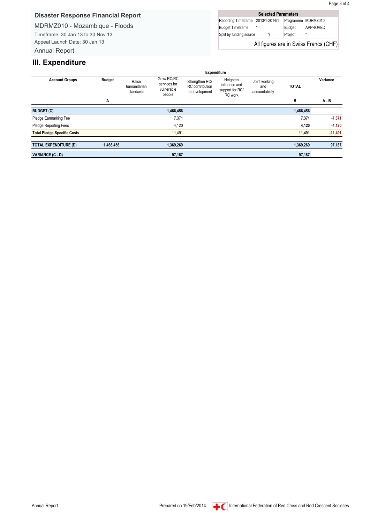## **Disaster Response Financial Report**

MDRMZ010 - Mozambique - Floods

Timeframe: 30 Jan 13 to 30 Nov 13 Appeal Launch Date: 30 Jan 13 Annual Report

| <b>Selected Parameters</b>        |  |  |         |                                       |  |  |  |  |  |
|-----------------------------------|--|--|---------|---------------------------------------|--|--|--|--|--|
| Reporting Timeframe 2013/1-2014/1 |  |  |         | Programme MDRMZ010                    |  |  |  |  |  |
| <b>Budget Timeframe</b>           |  |  | Budget  | APPROVED                              |  |  |  |  |  |
| Split by funding source           |  |  | Project | $\star$                               |  |  |  |  |  |
|                                   |  |  |         | All figures are in Swiss Francs (CHF) |  |  |  |  |  |

# **III. Expenditure**

|                                    | Expenditure   |                                    |                                                    |                                                            |                                                         |                                        |              |           |  |
|------------------------------------|---------------|------------------------------------|----------------------------------------------------|------------------------------------------------------------|---------------------------------------------------------|----------------------------------------|--------------|-----------|--|
| <b>Account Groups</b>              | <b>Budget</b> | Raise<br>humanitarian<br>standards | Grow RC/RC<br>services for<br>vulnerable<br>people | Strengthen RC/<br><b>RC</b> contribution<br>to development | Heighten<br>influence and<br>support for RC/<br>RC work | Joint working<br>and<br>accountability | <b>TOTAL</b> | Variance  |  |
|                                    | A             |                                    |                                                    |                                                            |                                                         |                                        | в            | A - B     |  |
| <b>BUDGET (C)</b>                  |               |                                    | 1,466,456                                          |                                                            |                                                         |                                        | 1,466,456    |           |  |
| Pledge Earmarking Fee              |               |                                    | 7,371                                              |                                                            |                                                         |                                        | 7,371        | $-7,371$  |  |
| Pledge Reporting Fees              |               |                                    | 4,120                                              |                                                            |                                                         |                                        | 4,120        | $-4,120$  |  |
| <b>Total Pledge Specific Costs</b> |               |                                    | 11.491                                             |                                                            |                                                         |                                        | 11,491       | $-11,491$ |  |
|                                    |               |                                    |                                                    |                                                            |                                                         |                                        |              |           |  |
| <b>TOTAL EXPENDITURE (D)</b>       | 1,466,456     |                                    | 1,369,269                                          |                                                            |                                                         |                                        | 1,369,269    | 97,187    |  |
| VARIANCE (C - D)                   |               |                                    | 97,187                                             |                                                            |                                                         |                                        | 97,187       |           |  |